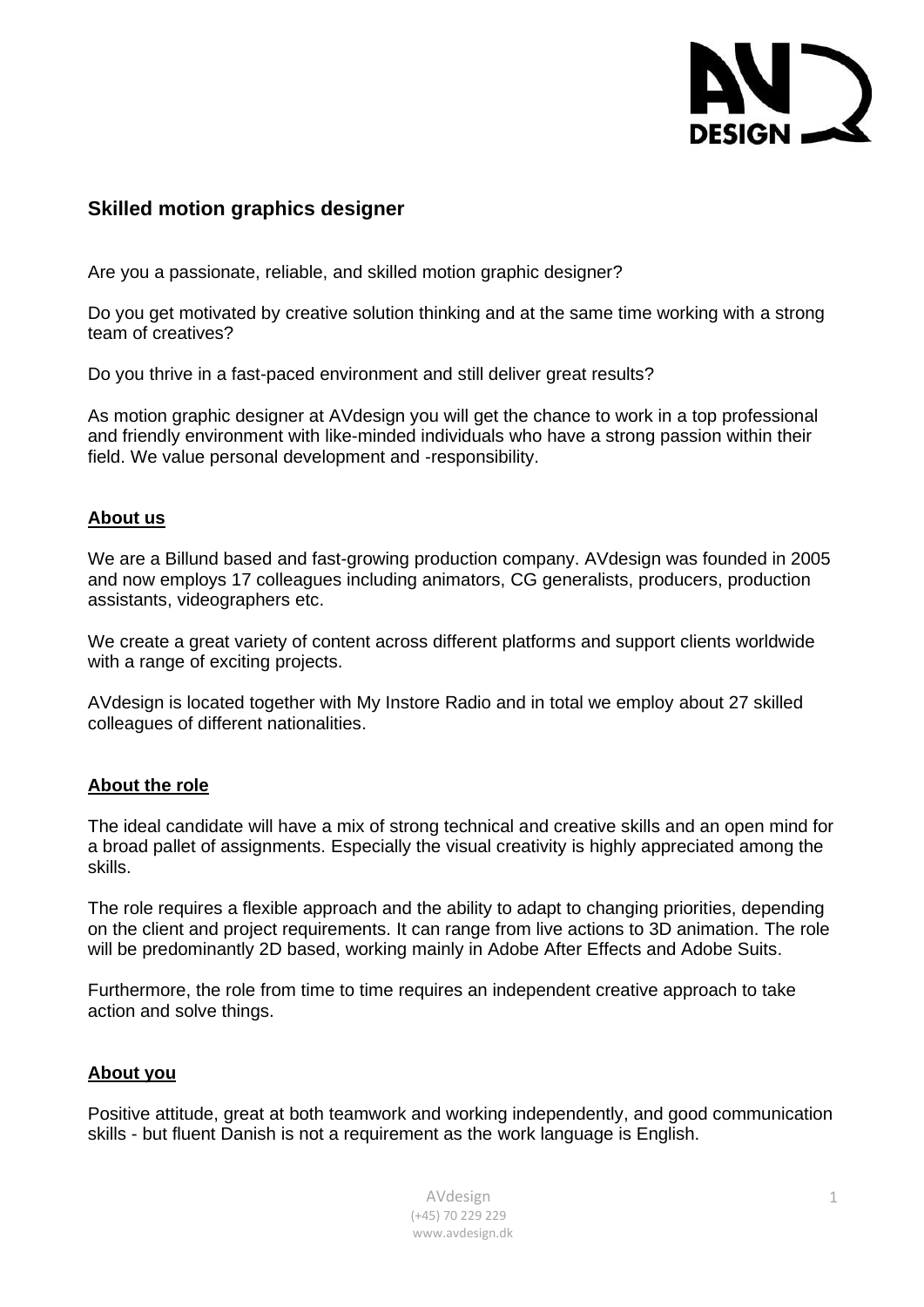

# **Skilled motion graphics designer**

Are you a passionate, reliable, and skilled motion graphic designer?

Do you get motivated by creative solution thinking and at the same time working with a strong team of creatives?

Do you thrive in a fast-paced environment and still deliver great results?

As motion graphic designer at AVdesign you will get the chance to work in a top [professional](https://da.bab.la/ordbog/engelsk-dansk/professionalism) and friendly environment with like-minded individuals who have a strong passion within their field. We value personal development and -responsibility.

### **About us**

We are a Billund based and fast-growing production company. AVdesign was founded in 2005 and now employs 17 colleagues including animators, CG generalists, producers, production assistants, videographers etc.

We create a great variety of content across different platforms and support clients worldwide with a range of exciting projects.

AVdesign is located together with My Instore Radio and in total we employ about 27 skilled colleagues of different nationalities.

### **About the role**

The ideal candidate will have a mix of strong technical and creative skills and an open mind for a broad pallet of assignments. Especially the visual creativity is highly appreciated among the skills.

The role requires a flexible approach and the ability to adapt to changing priorities, depending on the client and project requirements. It can range from live actions to 3D animation. The role will be predominantly 2D based, working mainly in Adobe After Effects and Adobe Suits.

Furthermore, the role from time to time requires an independent creative approach to take action and solve things.

### **About you**

Positive attitude, great at both teamwork and working independently, and good communication skills - but fluent Danish is not a requirement as the work language is English.